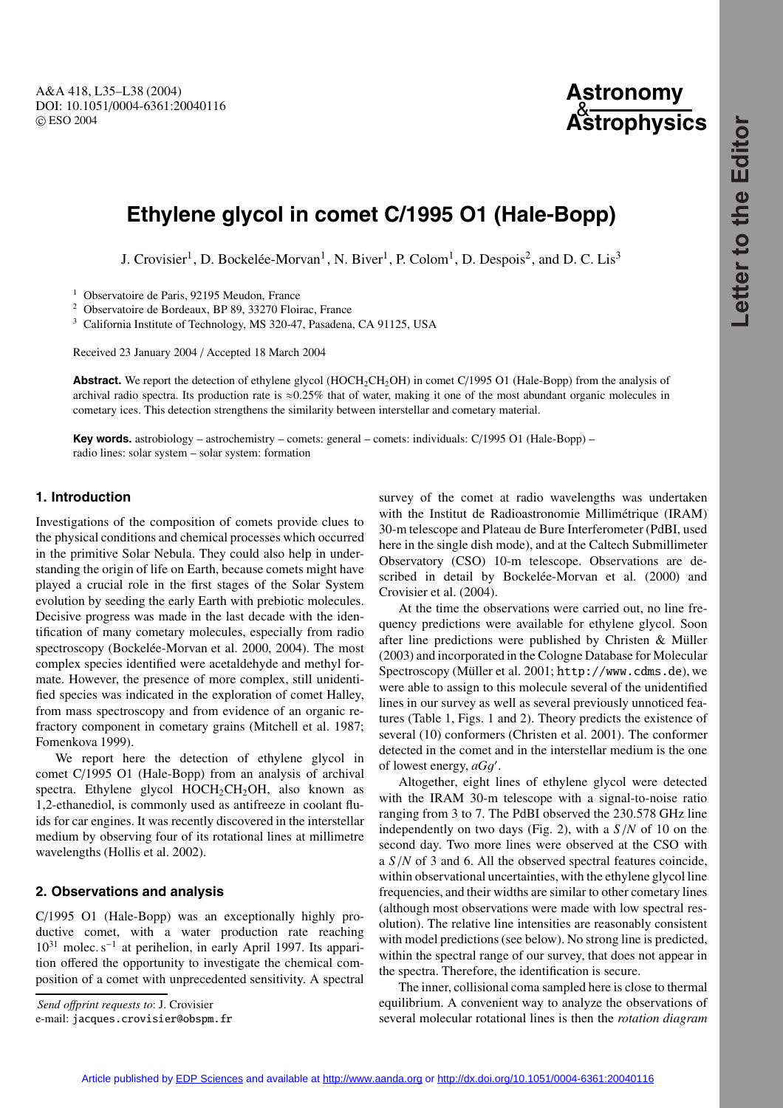A&A 418, L35–L38 (2004) DOI: 10.1051/0004-6361:20040116 c ESO 2004

# **Astronomy** & **Astrophysics**

# **Ethylene glycol in comet C/1995 O1 (Hale-Bopp)**

J. Crovisier<sup>1</sup>, D. Bockelée-Morvan<sup>1</sup>, N. Biver<sup>1</sup>, P. Colom<sup>1</sup>, D. Despois<sup>2</sup>, and D. C. Lis<sup>3</sup>

<sup>1</sup> Observatoire de Paris, 92195 Meudon, France

<sup>2</sup> Observatoire de Bordeaux, BP 89, 33270 Floirac, France

<sup>3</sup> California Institute of Technology, MS 320-47, Pasadena, CA 91125, USA

Received 23 January 2004 / Accepted 18 March 2004

**Abstract.** We report the detection of ethylene glycol (HOCH<sub>2</sub>CH<sub>2</sub>OH) in comet C/1995 O1 (Hale-Bopp) from the analysis of archival radio spectra. Its production rate is  $\approx 0.25\%$  that of water, making it one of the most abundant organic molecules in cometary ices. This detection strengthens the similarity between interstellar and cometary material.

**Key words.** astrobiology – astrochemistry – comets: general – comets: individuals: C/1995 O1 (Hale-Bopp) – radio lines: solar system – solar system: formation

## **1. Introduction**

Investigations of the composition of comets provide clues to the physical conditions and chemical processes which occurred in the primitive Solar Nebula. They could also help in understanding the origin of life on Earth, because comets might have played a crucial role in the first stages of the Solar System evolution by seeding the early Earth with prebiotic molecules. Decisive progress was made in the last decade with the identification of many cometary molecules, especially from radio spectroscopy (Bockelée-Morvan et al. 2000, 2004). The most complex species identified were acetaldehyde and methyl formate. However, the presence of more complex, still unidentified species was indicated in the exploration of comet Halley, from mass spectroscopy and from evidence of an organic refractory component in cometary grains (Mitchell et al. 1987; Fomenkova 1999).

We report here the detection of ethylene glycol in comet C/1995 O1 (Hale-Bopp) from an analysis of archival spectra. Ethylene glycol  $HOCH_2CH_2OH$ , also known as 1,2-ethanediol, is commonly used as antifreeze in coolant fluids for car engines. It was recently discovered in the interstellar medium by observing four of its rotational lines at millimetre wavelengths (Hollis et al. 2002).

### **2. Observations and analysis**

C/1995 O1 (Hale-Bopp) was an exceptionally highly productive comet, with a water production rate reaching 10<sup>31</sup> molec. s−<sup>1</sup> at perihelion, in early April 1997. Its apparition offered the opportunity to investigate the chemical composition of a comet with unprecedented sensitivity. A spectral

*Send o*ff*print requests to*: J. Crovisier

survey of the comet at radio wavelengths was undertaken with the Institut de Radioastronomie Millimétrique (IRAM) 30-m telescope and Plateau de Bure Interferometer (PdBI, used here in the single dish mode), and at the Caltech Submillimeter Observatory (CSO) 10-m telescope. Observations are described in detail by Bockelée-Morvan et al. (2000) and Crovisier et al. (2004).

At the time the observations were carried out, no line frequency predictions were available for ethylene glycol. Soon after line predictions were published by Christen & Müller (2003) and incorporated in the Cologne Database for Molecular Spectroscopy (Müller et al. 2001; http://www.cdms.de), we were able to assign to this molecule several of the unidentified lines in our survey as well as several previously unnoticed features (Table 1, Figs. 1 and 2). Theory predicts the existence of several (10) conformers (Christen et al. 2001). The conformer detected in the comet and in the interstellar medium is the one of lowest energy, *aGg'*.

Altogether, eight lines of ethylene glycol were detected with the IRAM 30-m telescope with a signal-to-noise ratio ranging from 3 to 7. The PdBI observed the 230.578 GHz line independently on two days (Fig. 2), with a *<sup>S</sup>*/*<sup>N</sup>* of 10 on the second day. Two more lines were observed at the CSO with <sup>a</sup> *<sup>S</sup>*/*<sup>N</sup>* of 3 and 6. All the observed spectral features coincide, within observational uncertainties, with the ethylene glycol line frequencies, and their widths are similar to other cometary lines (although most observations were made with low spectral resolution). The relative line intensities are reasonably consistent with model predictions (see below). No strong line is predicted, within the spectral range of our survey, that does not appear in the spectra. Therefore, the identification is secure.

The inner, collisional coma sampled here is close to thermal equilibrium. A convenient way to analyze the observations of several molecular rotational lines is then the *rotation diagram*

e-mail: jacques.crovisier@obspm.fr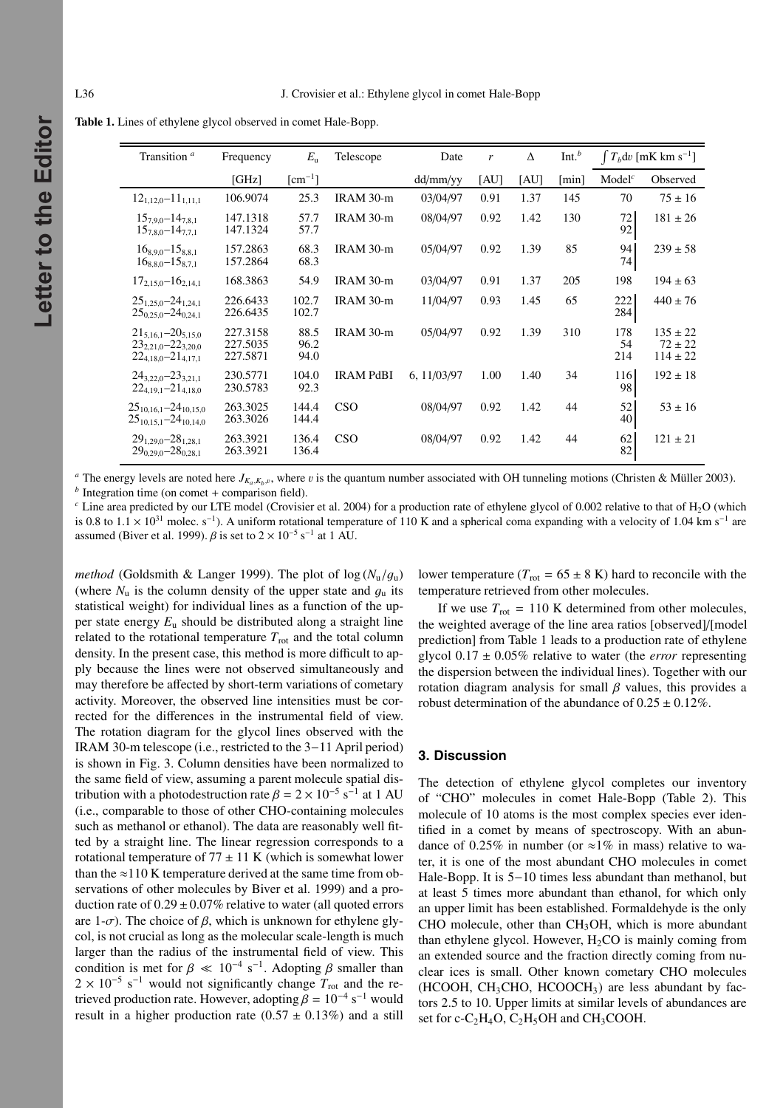Letter to the Editor **Letter to the Editor**

| Transition <sup>a</sup>                                                                   | Frequency                        | $E_{\rm u}$               | Telescope        | Date        | r    | Δ    | Int. <sup>b</sup> | $\int T_b$ dv [mK km s <sup>-1</sup> ] |                                             |
|-------------------------------------------------------------------------------------------|----------------------------------|---------------------------|------------------|-------------|------|------|-------------------|----------------------------------------|---------------------------------------------|
|                                                                                           | [GHz]                            | $\lceil$ cm <sup>-1</sup> |                  | dd/mm/yy    | [AU] | [AU] | [min]             | Model <sup>c</sup>                     | Observed                                    |
| $12_{1,12,0} - 11_{1,11,1}$                                                               | 106.9074                         | 25.3                      | IRAM 30-m        | 03/04/97    | 0.91 | 1.37 | 145               | 70                                     | $75 \pm 16$                                 |
| $15_{7,9,0} - 14_{7,8,1}$<br>$15_{7,8,0} - 14_{7,7,1}$                                    | 147.1318<br>147.1324             | 57.7<br>57.7              | IRAM 30-m        | 08/04/97    | 0.92 | 1.42 | 130               | 72<br>92                               | $181 \pm 26$                                |
| $16_{8,9,0} - 15_{8,8,1}$<br>$16_{8.8.0} - 15_{8.7.1}$                                    | 157.2863<br>157.2864             | 68.3<br>68.3              | IRAM 30-m        | 05/04/97    | 0.92 | 1.39 | 85                | 94<br>74                               | $239 \pm 58$                                |
| $17_{2,15,0} - 16_{2,14,1}$                                                               | 168.3863                         | 54.9                      | IRAM 30-m        | 03/04/97    | 0.91 | 1.37 | 205               | 198                                    | $194 \pm 63$                                |
| $25_{1,25,0} - 24_{1,24,1}$<br>$25_{0.25.0} - 24_{0.24.1}$                                | 226.6433<br>226.6435             | 102.7<br>102.7            | IRAM 30-m        | 11/04/97    | 0.93 | 1.45 | 65                | 222<br>284                             | $440 \pm 76$                                |
| $21_{5,16,1} - 20_{5,15,0}$<br>$23_{2,21.0} - 22_{3,20.0}$<br>$22_{4,18,0} - 21_{4,17,1}$ | 227.3158<br>227.5035<br>227.5871 | 88.5<br>96.2<br>94.0      | IRAM 30-m        | 05/04/97    | 0.92 | 1.39 | 310               | 178<br>54<br>214                       | $135 \pm 22$<br>$72 \pm 22$<br>$114 \pm 22$ |
| $24_{3,22,0} - 23_{3,21,1}$<br>$22_{4,19,1} - 21_{4,18,0}$                                | 230.5771<br>230.5783             | 104.0<br>92.3             | <b>IRAM PdBI</b> | 6, 11/03/97 | 1.00 | 1.40 | 34                | 116<br>98                              | $192 \pm 18$                                |
| $25_{10,16,1} - 24_{10,15,0}$<br>$25_{10,15,1} - 24_{10,14,0}$                            | 263.3025<br>263.3026             | 144.4<br>144.4            | <b>CSO</b>       | 08/04/97    | 0.92 | 1.42 | 44                | 52<br>40                               | $53 \pm 16$                                 |
| $29_{1,29,0} - 28_{1,28,1}$<br>$29_{0.29.0} - 28_{0.28.1}$                                | 263.3921<br>263.3921             | 136.4<br>136.4            | <b>CSO</b>       | 08/04/97    | 0.92 | 1.42 | 44                | 62<br>82                               | $121 \pm 21$                                |

**Table 1.** Lines of ethylene glycol observed in comet Hale-Bopp.

<sup>*a*</sup> The energy levels are noted here *J<sub>Ka</sub>*,*K<sub>b</sub>*,*v*, where *v* is the quantum number associated with OH tunneling motions (Christen & Müller 2003). *b* Integration time (on comet + comparison field).

<sup>c</sup> Line area predicted by our LTE model (Crovisier et al. 2004) for a production rate of ethylene glycol of 0.002 relative to that of H<sub>2</sub>O (which is 0.8 to  $1.1 \times 10^{31}$  molec. s<sup>-1</sup>). A uniform rotational temperature of 110 K and a spherical coma expanding with a velocity of 1.04 km s<sup>-1</sup> are assumed (Biver et al. 1999).  $\beta$  is set to 2 × 10<sup>-5</sup> s<sup>-1</sup> at 1 AU.

*method* (Goldsmith & Langer 1999). The plot of  $\log(N_{\rm u}/g_{\rm u})$ (where  $N_u$  is the column density of the upper state and  $g_u$  its statistical weight) for individual lines as a function of the upper state energy  $E_u$  should be distributed along a straight line related to the rotational temperature  $T_{\text{rot}}$  and the total column density. In the present case, this method is more difficult to apply because the lines were not observed simultaneously and may therefore be affected by short-term variations of cometary activity. Moreover, the observed line intensities must be corrected for the differences in the instrumental field of view. The rotation diagram for the glycol lines observed with the IRAM 30-m telescope (i.e., restricted to the 3−11 April period) is shown in Fig. 3. Column densities have been normalized to the same field of view, assuming a parent molecule spatial distribution with a photodestruction rate  $\beta = 2 \times 10^{-5}$  s<sup>-1</sup> at 1 AU (i.e., comparable to those of other CHO-containing molecules such as methanol or ethanol). The data are reasonably well fitted by a straight line. The linear regression corresponds to a rotational temperature of  $77 \pm 11$  K (which is somewhat lower than the  $\approx$ 110 K temperature derived at the same time from observations of other molecules by Biver et al. 1999) and a production rate of  $0.29 \pm 0.07\%$  relative to water (all quoted errors are 1- $\sigma$ ). The choice of  $\beta$ , which is unknown for ethylene glycol, is not crucial as long as the molecular scale-length is much larger than the radius of the instrumental field of view. This condition is met for  $\beta \ll 10^{-4}$  s<sup>-1</sup>. Adopting  $\beta$  smaller than  $2 \times 10^{-5}$  s<sup>-1</sup> would not significantly change  $T_{\text{rot}}$  and the retrieved production rate. However, adopting  $\beta = 10^{-4} \text{ s}^{-1}$  would result in a higher production rate  $(0.57 \pm 0.13\%)$  and a still

lower temperature ( $T_{\text{rot}} = 65 \pm 8$  K) hard to reconcile with the temperature retrieved from other molecules.

If we use  $T_{\text{rot}} = 110$  K determined from other molecules, the weighted average of the line area ratios [observed]/[model prediction] from Table 1 leads to a production rate of ethylene glycol 0.<sup>17</sup> <sup>±</sup> <sup>0</sup>.05% relative to water (the *error* representing the dispersion between the individual lines). Together with our rotation diagram analysis for small  $\beta$  values, this provides a robust determination of the abundance of  $0.25 \pm 0.12\%$ .

#### **3. Discussion**

The detection of ethylene glycol completes our inventory of "CHO" molecules in comet Hale-Bopp (Table 2). This molecule of 10 atoms is the most complex species ever identified in a comet by means of spectroscopy. With an abundance of 0.25% in number (or  $\approx$ 1% in mass) relative to water, it is one of the most abundant CHO molecules in comet Hale-Bopp. It is 5−10 times less abundant than methanol, but at least 5 times more abundant than ethanol, for which only an upper limit has been established. Formaldehyde is the only CHO molecule, other than CH3OH, which is more abundant than ethylene glycol. However,  $H_2CO$  is mainly coming from an extended source and the fraction directly coming from nuclear ices is small. Other known cometary CHO molecules  $(HCOOH, CH<sub>3</sub>CHO, HCOOCH<sub>3</sub>)$  are less abundant by factors 2.5 to 10. Upper limits at similar levels of abundances are set for c- $C_2H_4O$ ,  $C_2H_5OH$  and  $CH_3COOH$ .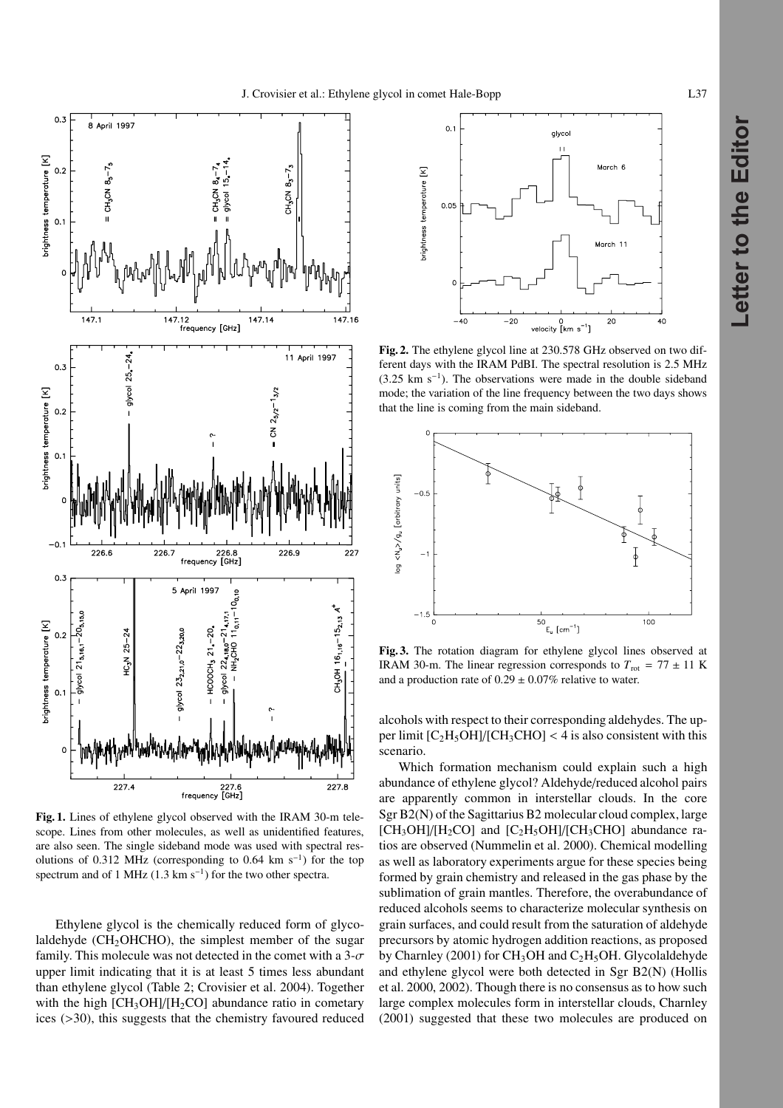

**Fig. 1.** Lines of ethylene glycol observed with the IRAM 30-m telescope. Lines from other molecules, as well as unidentified features, are also seen. The single sideband mode was used with spectral resolutions of 0.312 MHz (corresponding to 0.64 km s<sup>-1</sup>) for the top spectrum and of 1 MHz (1.3 km s<sup>-1</sup>) for the two other spectra.

Ethylene glycol is the chemically reduced form of glycolaldehyde ( $CH<sub>2</sub>OHCHO$ ), the simplest member of the sugar family. This molecule was not detected in the comet with a  $3-\sigma$ upper limit indicating that it is at least 5 times less abundant than ethylene glycol (Table 2; Crovisier et al. 2004). Together with the high  $\text{[CH}_3\text{OH}]/\text{[H}_2\text{CO]}$  abundance ratio in cometary ices (>30), this suggests that the chemistry favoured reduced



**Fig. 2.** The ethylene glycol line at 230.578 GHz observed on two different days with the IRAM PdBI. The spectral resolution is 2.5 MHz  $(3.25 \text{ km s}^{-1})$ . The observations were made in the double sideband mode; the variation of the line frequency between the two days shows that the line is coming from the main sideband.



**Fig. 3.** The rotation diagram for ethylene glycol lines observed at IRAM 30-m. The linear regression corresponds to  $T_{\text{rot}} = 77 \pm 11 \text{ K}$ and a production rate of  $0.29 \pm 0.07\%$  relative to water.

alcohols with respect to their corresponding aldehydes. The upper limit  $[C_2H_5OH]/[CH_3CHO] < 4$  is also consistent with this scenario.

Which formation mechanism could explain such a high abundance of ethylene glycol? Aldehyde/reduced alcohol pairs are apparently common in interstellar clouds. In the core Sgr B2(N) of the Sagittarius B2 molecular cloud complex, large  $[CH_3OH]/[H_2CO]$  and  $[C_2H_5OH]/[CH_3CHO]$  abundance ratios are observed (Nummelin et al. 2000). Chemical modelling as well as laboratory experiments argue for these species being formed by grain chemistry and released in the gas phase by the sublimation of grain mantles. Therefore, the overabundance of reduced alcohols seems to characterize molecular synthesis on grain surfaces, and could result from the saturation of aldehyde precursors by atomic hydrogen addition reactions, as proposed by Charnley (2001) for  $CH_3OH$  and  $C_2H_5OH$ . Glycolaldehyde and ethylene glycol were both detected in Sgr B2(N) (Hollis et al. 2000, 2002). Though there is no consensus as to how such large complex molecules form in interstellar clouds, Charnley (2001) suggested that these two molecules are produced on

**Letter to the Editor**

Letter to the Editor